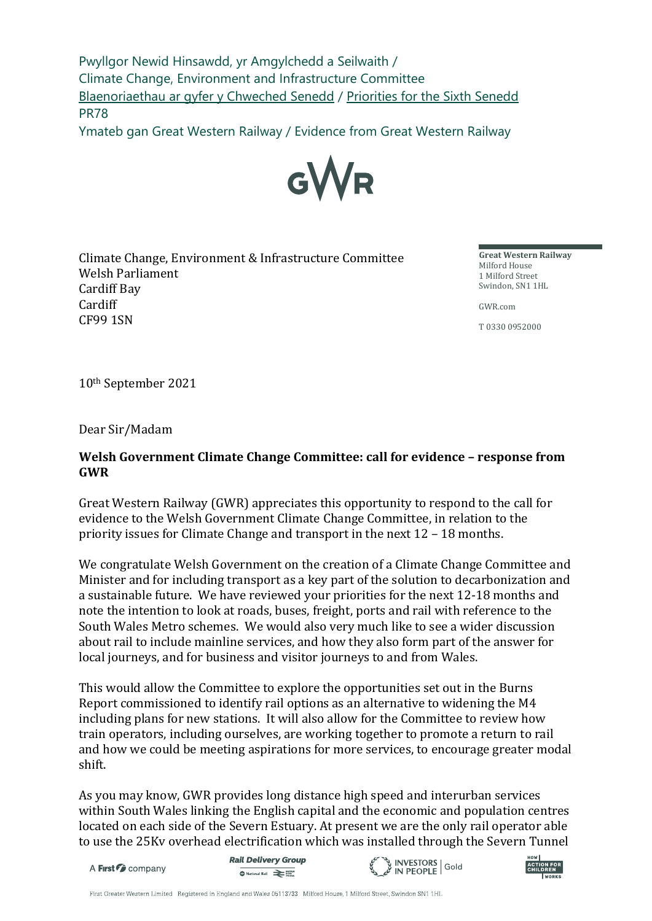Pwyllgor Newid Hinsawdd, yr Amgylchedd a Seilwaith / Climate Change, Environment and Infrastructure Committee [Blaenoriaethau ar gyfer y Chweched Senedd](https://busnes.senedd.cymru/mgConsultationDisplay.aspx?id=427&RPID=1026452002&cp=yes) / [Priorities for the Sixth Senedd](https://business.senedd.wales/mgConsultationDisplay.aspx?id=427&RPID=1026452002&cp=yes) PR78

Ymateb gan Great Western Railway / Evidence from Great Western Railway



Climate Change, Environment & Infrastructure Committee Welsh Parliament Cardiff Bay Cardiff CF99 1SN

**Great Western Railway** Milford House 1 Milford Street Swindon, SN1 1HL

GWR.com

T 0330 0952000

10th September 2021

Dear Sir/Madam

#### **Welsh Government Climate Change Committee: call for evidence – response from GWR**

Great Western Railway (GWR) appreciates this opportunity to respond to the call for evidence to the Welsh Government Climate Change Committee, in relation to the priority issues for Climate Change and transport in the next 12 – 18 months.

We congratulate Welsh Government on the creation of a Climate Change Committee and Minister and for including transport as a key part of the solution to decarbonization and a sustainable future. We have reviewed your priorities for the next 12-18 months and note the intention to look at roads, buses, freight, ports and rail with reference to the South Wales Metro schemes. We would also very much like to see a wider discussion about rail to include mainline services, and how they also form part of the answer for local journeys, and for business and visitor journeys to and from Wales.

This would allow the Committee to explore the opportunities set out in the Burns Report commissioned to identify rail options as an alternative to widening the M4 including plans for new stations. It will also allow for the Committee to review how train operators, including ourselves, are working together to promote a return to rail and how we could be meeting aspirations for more services, to encourage greater modal shift.

As you may know, GWR provides long distance high speed and interurban services within South Wales linking the English capital and the economic and population centres located on each side of the Severn Estuary. At present we are the only rail operator able to use the 25Kv overhead electrification which was installed through the Severn Tunnel

A First *C* company

**Rail Delivery Group A** National Rail **Designation** 



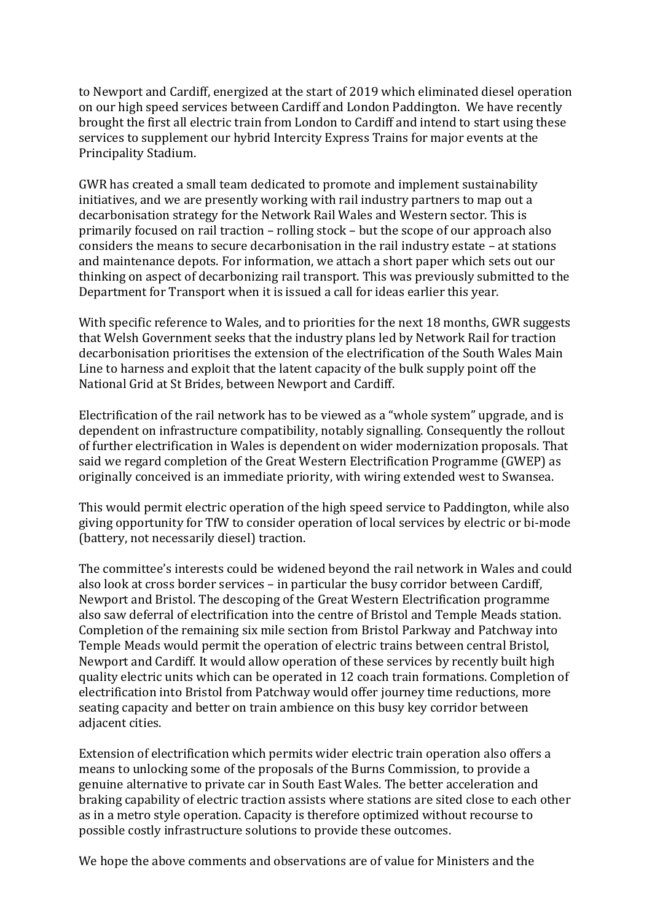to Newport and Cardiff, energized at the start of 2019 which eliminated diesel operation on our high speed services between Cardiff and London Paddington. We have recently brought the first all electric train from London to Cardiff and intend to start using these services to supplement our hybrid Intercity Express Trains for major events at the Principality Stadium.

GWR has created a small team dedicated to promote and implement sustainability initiatives, and we are presently working with rail industry partners to map out a decarbonisation strategy for the Network Rail Wales and Western sector. This is primarily focused on rail traction – rolling stock – but the scope of our approach also considers the means to secure decarbonisation in the rail industry estate – at stations and maintenance depots. For information, we attach a short paper which sets out our thinking on aspect of decarbonizing rail transport. This was previously submitted to the Department for Transport when it is issued a call for ideas earlier this year.

With specific reference to Wales, and to priorities for the next 18 months, GWR suggests that Welsh Government seeks that the industry plans led by Network Rail for traction decarbonisation prioritises the extension of the electrification of the South Wales Main Line to harness and exploit that the latent capacity of the bulk supply point off the National Grid at St Brides, between Newport and Cardiff.

Electrification of the rail network has to be viewed as a "whole system" upgrade, and is dependent on infrastructure compatibility, notably signalling. Consequently the rollout of further electrification in Wales is dependent on wider modernization proposals. That said we regard completion of the Great Western Electrification Programme (GWEP) as originally conceived is an immediate priority, with wiring extended west to Swansea.

This would permit electric operation of the high speed service to Paddington, while also giving opportunity for TfW to consider operation of local services by electric or bi-mode (battery, not necessarily diesel) traction.

The committee's interests could be widened beyond the rail network in Wales and could also look at cross border services – in particular the busy corridor between Cardiff, Newport and Bristol. The descoping of the Great Western Electrification programme also saw deferral of electrification into the centre of Bristol and Temple Meads station. Completion of the remaining six mile section from Bristol Parkway and Patchway into Temple Meads would permit the operation of electric trains between central Bristol, Newport and Cardiff. It would allow operation of these services by recently built high quality electric units which can be operated in 12 coach train formations. Completion of electrification into Bristol from Patchway would offer journey time reductions, more seating capacity and better on train ambience on this busy key corridor between adjacent cities.

Extension of electrification which permits wider electric train operation also offers a means to unlocking some of the proposals of the Burns Commission, to provide a genuine alternative to private car in South East Wales. The better acceleration and braking capability of electric traction assists where stations are sited close to each other as in a metro style operation. Capacity is therefore optimized without recourse to possible costly infrastructure solutions to provide these outcomes.

We hope the above comments and observations are of value for Ministers and the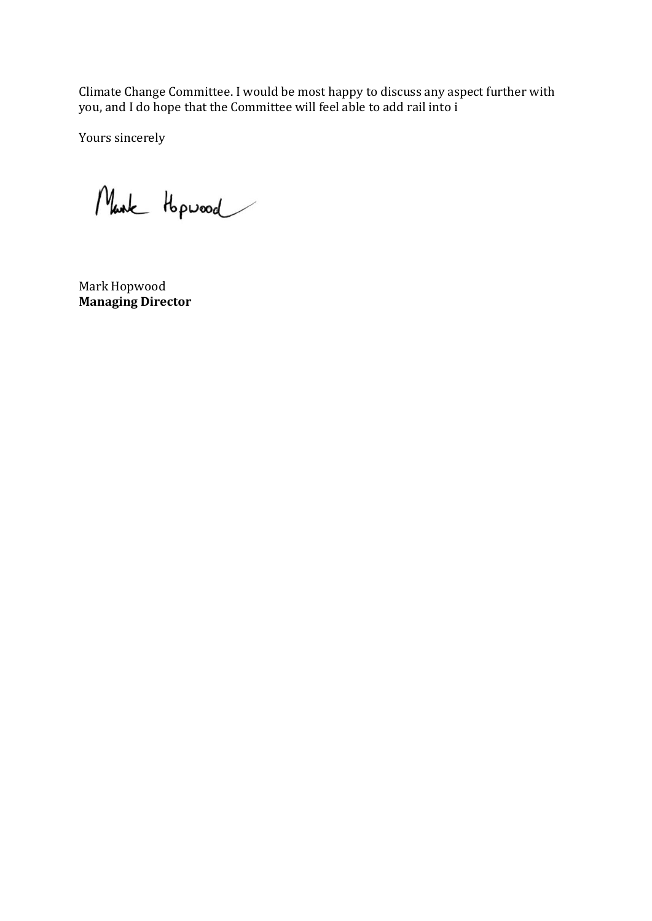Climate Change Committee. I would be most happy to discuss any aspect further with you, and I do hope that the Committee will feel able to add rail into i

Yours sincerely

Mark Hopwood

Mark Hopwood **Managing Director**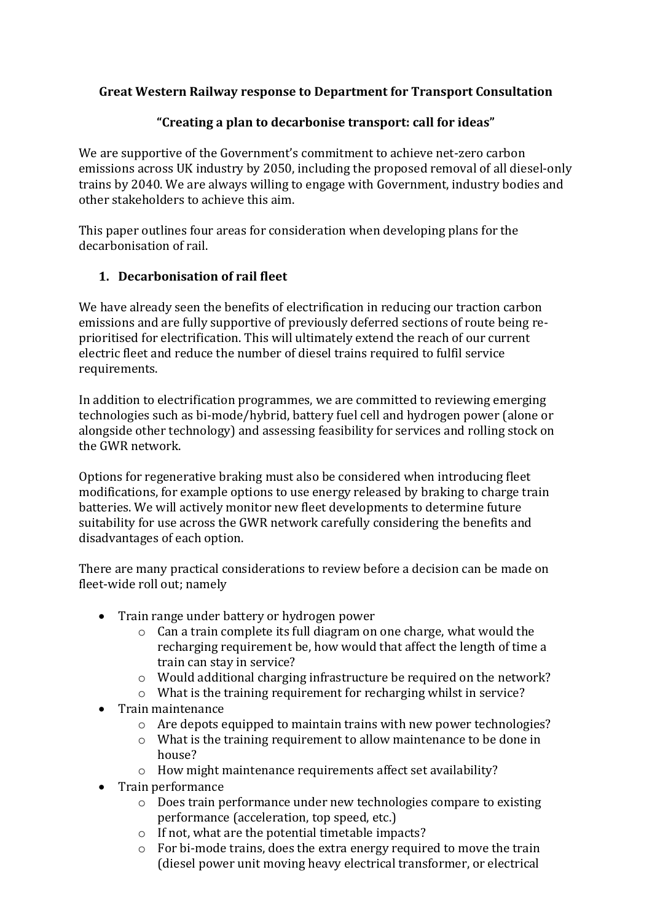### **Great Western Railway response to Department for Transport Consultation**

## **"Creating a plan to decarbonise transport: call for ideas"**

We are supportive of the Government's commitment to achieve net-zero carbon emissions across UK industry by 2050, including the proposed removal of all diesel-only trains by 2040. We are always willing to engage with Government, industry bodies and other stakeholders to achieve this aim.

This paper outlines four areas for consideration when developing plans for the decarbonisation of rail.

## **1. Decarbonisation of rail fleet**

We have already seen the benefits of electrification in reducing our traction carbon emissions and are fully supportive of previously deferred sections of route being reprioritised for electrification. This will ultimately extend the reach of our current electric fleet and reduce the number of diesel trains required to fulfil service requirements.

In addition to electrification programmes, we are committed to reviewing emerging technologies such as bi-mode/hybrid, battery fuel cell and hydrogen power (alone or alongside other technology) and assessing feasibility for services and rolling stock on the GWR network.

Options for regenerative braking must also be considered when introducing fleet modifications, for example options to use energy released by braking to charge train batteries. We will actively monitor new fleet developments to determine future suitability for use across the GWR network carefully considering the benefits and disadvantages of each option.

There are many practical considerations to review before a decision can be made on fleet-wide roll out; namely

- Train range under battery or hydrogen power
	- o Can a train complete its full diagram on one charge, what would the recharging requirement be, how would that affect the length of time a train can stay in service?
	- o Would additional charging infrastructure be required on the network?
	- o What is the training requirement for recharging whilst in service?
- Train maintenance
	- o Are depots equipped to maintain trains with new power technologies?
	- o What is the training requirement to allow maintenance to be done in house?
	- o How might maintenance requirements affect set availability?
- Train performance
	- o Does train performance under new technologies compare to existing performance (acceleration, top speed, etc.)
	- o If not, what are the potential timetable impacts?
	- o For bi-mode trains, does the extra energy required to move the train (diesel power unit moving heavy electrical transformer, or electrical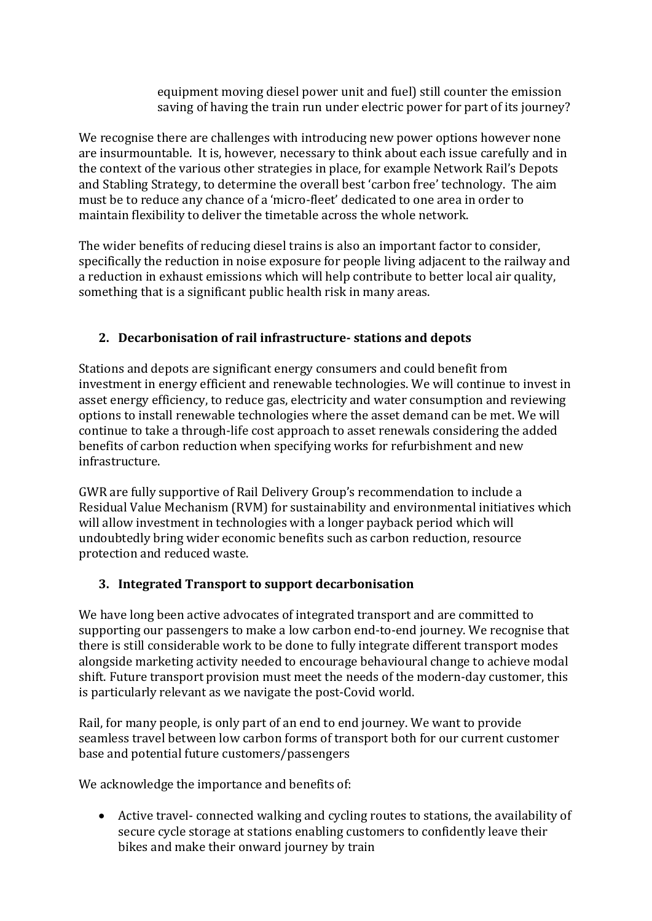equipment moving diesel power unit and fuel) still counter the emission saving of having the train run under electric power for part of its journey?

We recognise there are challenges with introducing new power options however none are insurmountable. It is, however, necessary to think about each issue carefully and in the context of the various other strategies in place, for example Network Rail's Depots and Stabling Strategy, to determine the overall best 'carbon free' technology. The aim must be to reduce any chance of a 'micro-fleet' dedicated to one area in order to maintain flexibility to deliver the timetable across the whole network.

The wider benefits of reducing diesel trains is also an important factor to consider, specifically the reduction in noise exposure for people living adjacent to the railway and a reduction in exhaust emissions which will help contribute to better local air quality, something that is a significant public health risk in many areas.

# **2. Decarbonisation of rail infrastructure- stations and depots**

Stations and depots are significant energy consumers and could benefit from investment in energy efficient and renewable technologies. We will continue to invest in asset energy efficiency, to reduce gas, electricity and water consumption and reviewing options to install renewable technologies where the asset demand can be met. We will continue to take a through-life cost approach to asset renewals considering the added benefits of carbon reduction when specifying works for refurbishment and new infrastructure.

GWR are fully supportive of Rail Delivery Group's recommendation to include a Residual Value Mechanism (RVM) for sustainability and environmental initiatives which will allow investment in technologies with a longer payback period which will undoubtedly bring wider economic benefits such as carbon reduction, resource protection and reduced waste.

### **3. Integrated Transport to support decarbonisation**

We have long been active advocates of integrated transport and are committed to supporting our passengers to make a low carbon end-to-end journey. We recognise that there is still considerable work to be done to fully integrate different transport modes alongside marketing activity needed to encourage behavioural change to achieve modal shift. Future transport provision must meet the needs of the modern-day customer, this is particularly relevant as we navigate the post-Covid world.

Rail, for many people, is only part of an end to end journey. We want to provide seamless travel between low carbon forms of transport both for our current customer base and potential future customers/passengers

We acknowledge the importance and benefits of:

• Active travel- connected walking and cycling routes to stations, the availability of secure cycle storage at stations enabling customers to confidently leave their bikes and make their onward journey by train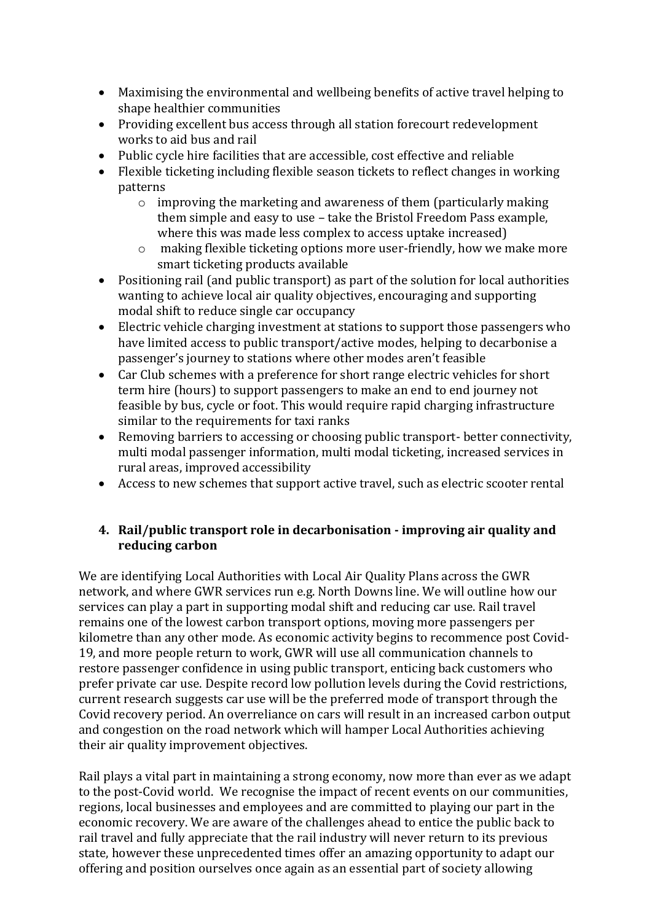- Maximising the environmental and wellbeing benefits of active travel helping to shape healthier communities
- Providing excellent bus access through all station forecourt redevelopment works to aid bus and rail
- Public cycle hire facilities that are accessible, cost effective and reliable
- Flexible ticketing including flexible season tickets to reflect changes in working patterns
	- o improving the marketing and awareness of them (particularly making them simple and easy to use – take the Bristol Freedom Pass example, where this was made less complex to access uptake increased)
	- o making flexible ticketing options more user-friendly, how we make more smart ticketing products available
- Positioning rail (and public transport) as part of the solution for local authorities wanting to achieve local air quality objectives, encouraging and supporting modal shift to reduce single car occupancy
- Electric vehicle charging investment at stations to support those passengers who have limited access to public transport/active modes, helping to decarbonise a passenger's journey to stations where other modes aren't feasible
- Car Club schemes with a preference for short range electric vehicles for short term hire (hours) to support passengers to make an end to end journey not feasible by bus, cycle or foot. This would require rapid charging infrastructure similar to the requirements for taxi ranks
- Removing barriers to accessing or choosing public transport- better connectivity, multi modal passenger information, multi modal ticketing, increased services in rural areas, improved accessibility
- Access to new schemes that support active travel, such as electric scooter rental

#### **4. Rail/public transport role in decarbonisation - improving air quality and reducing carbon**

We are identifying Local Authorities with Local Air Quality Plans across the GWR network, and where GWR services run e.g. North Downs line. We will outline how our services can play a part in supporting modal shift and reducing car use. Rail travel remains one of the lowest carbon transport options, moving more passengers per kilometre than any other mode. As economic activity begins to recommence post Covid-19, and more people return to work, GWR will use all communication channels to restore passenger confidence in using public transport, enticing back customers who prefer private car use. Despite record low pollution levels during the Covid restrictions, current research suggests car use will be the preferred mode of transport through the Covid recovery period. An overreliance on cars will result in an increased carbon output and congestion on the road network which will hamper Local Authorities achieving their air quality improvement objectives.

Rail plays a vital part in maintaining a strong economy, now more than ever as we adapt to the post-Covid world. We recognise the impact of recent events on our communities, regions, local businesses and employees and are committed to playing our part in the economic recovery. We are aware of the challenges ahead to entice the public back to rail travel and fully appreciate that the rail industry will never return to its previous state, however these unprecedented times offer an amazing opportunity to adapt our offering and position ourselves once again as an essential part of society allowing